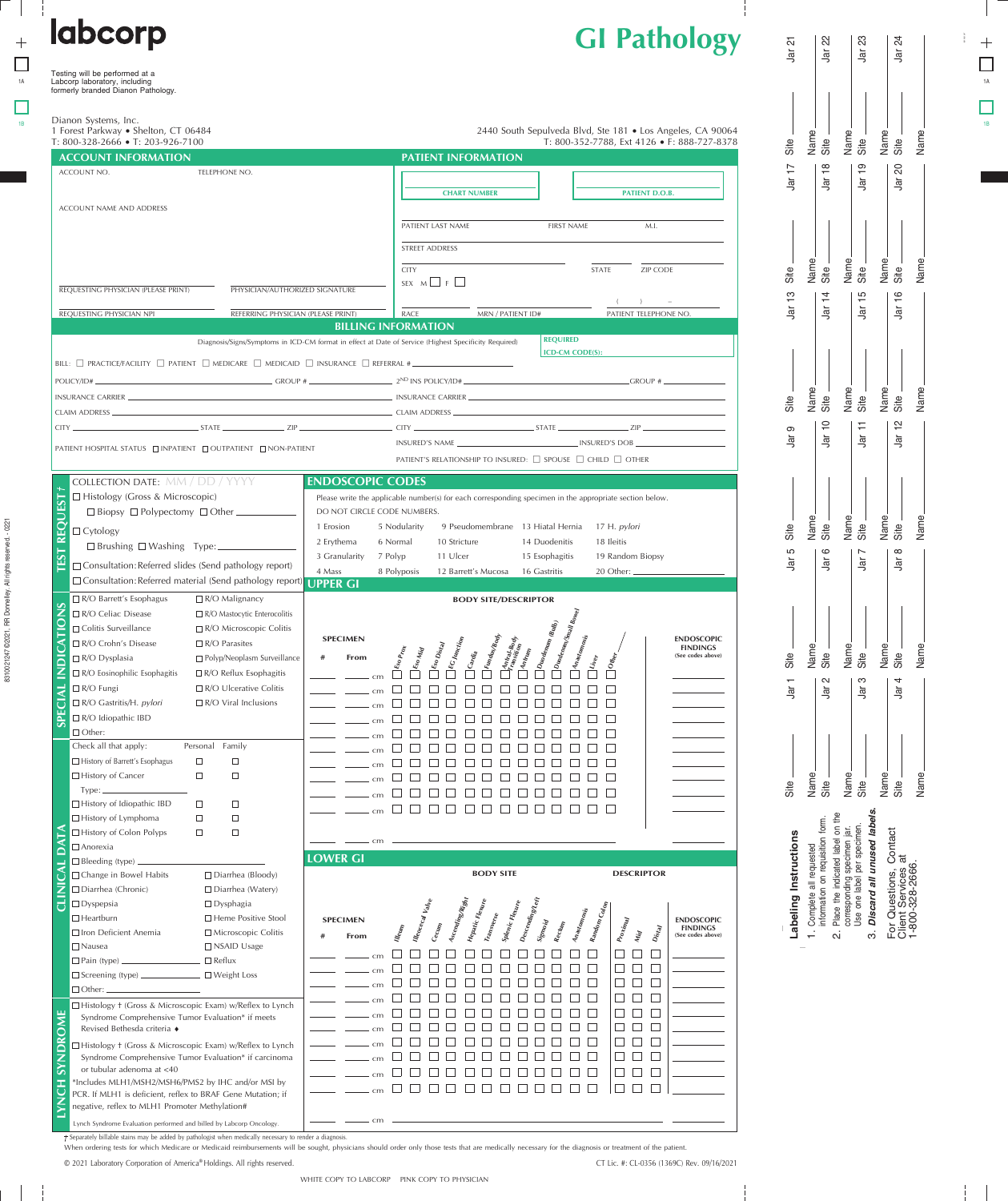| <b>GI Pathology</b> |  |
|---------------------|--|
|---------------------|--|

| <b>labcorp</b>                                                                                                                | <b>GI Pathology</b>                                                                                                                                                                 | $\overline{c}$<br>$\overline{\overline{a}}$ | 22<br>$\frac{1}{2}$ | ಔ<br>$\overline{\overline{B}}$ | $\overline{z}$<br>횩 |    |
|-------------------------------------------------------------------------------------------------------------------------------|-------------------------------------------------------------------------------------------------------------------------------------------------------------------------------------|---------------------------------------------|---------------------|--------------------------------|---------------------|----|
| Testing will be performed at a<br>Labcorp laboratory, including<br>formerly branded Dianon Pathology.                         |                                                                                                                                                                                     |                                             |                     |                                |                     | 1A |
|                                                                                                                               |                                                                                                                                                                                     |                                             |                     |                                |                     |    |
| Dianon Systems, Inc.<br>$\mathcal{A}$ in the set of the set of the set of $\mathcal{A}$<br>$\sim$ $\sim$ $\sim$ $\sim$ $\sim$ | $\mathbb{R}^+$ $\mathbb{R}^+$ $\mathbb{R}^+$ $\mathbb{R}^+$ $\mathbb{R}^+$ $\mathbb{R}^+$ $\mathbb{R}^+$ $\mathbb{R}^+$<br>$0.1100 \pm 0.100$<br>$\sim$ $\sim$ $\sim$ $\sim$ $\sim$ |                                             |                     |                                |                     |    |

| $\overline{1}$<br>$\frac{8}{1}$<br>$\frac{1}{2}$<br>$\overline{c}$<br>ACCOUNT NO.<br>TELEPHONE NO.<br>Jar<br>$\frac{1}{2}$<br>$\frac{1}{2}$<br>$\frac{1}{2}$<br><b>CHART NUMBER</b><br><b>PATIENT D.O.B.</b><br>ACCOUNT NAME AND ADDRESS<br>PATIENT LAST NAME<br><b>FIRST NAME</b><br>M.I.<br><b>STREET ADDRESS</b><br>Name<br>Name<br>Site<br>Name<br>Site<br><b>CITY</b><br>STATE<br>ZIP CODE<br>Site<br>Site<br>SEX $M \Box F$<br>REQUESTING PHYSICIAN (PLEASE PRINT)<br>PHYSICIAN/AUTHORIZED SIGNATURE<br>$\frac{1}{2}$<br>$\frac{6}{1}$<br>$\overline{4}$<br>$\frac{5}{1}$<br>٦ā<br>$\bar{\mathbb{B}}$<br>$\frac{1}{2}$<br>$\frac{1}{2}$<br>PATIENT TELEPHONE NO.<br>REFERRING PHYSICIAN (PLEASE PRINT)<br><b>RACE</b><br>REQUESTING PHYSICIAN NPI<br>MRN / PATIENT ID#<br><b>BILLING INFORMATION</b><br><b>REQUIRED</b><br>Diagnosis/Signs/Symptoms in ICD-CM format in effect at Date of Service (Highest Specificity Required)<br><b>ICD-CM CODE(S):</b><br>BILL: $\Box$ PRACTICE/FACILITY $\Box$ PATIENT $\Box$ MEDICARE $\Box$ MEDICAID $\Box$ INSURANCE $\Box$ REFERRAL #<br>POLICY/ID#<br>Name<br>Name<br>Site _<br>Name<br>Site<br>Site<br>Site<br>$\overline{C}$ CLAIM ADDRESS $\overline{C}$ and $\overline{C}$ and $\overline{C}$ and $\overline{C}$ and $\overline{C}$ and $\overline{C}$ and $\overline{C}$ and $\overline{C}$ and $\overline{C}$ and $\overline{C}$ and $\overline{C}$ and $\overline{C}$ and $\overline{C}$ and $\overline{C}$ and $\overline{C}$ and $\over$<br>$\overline{C}$<br>$\frac{1}{2}$<br>Η<br>$STATE$ $ZIP$<br>CITY<br>$STATE$ $ZIP$ $ZIP$<br>CITY.<br>$\infty$<br>$\overline{\overline{a}}$<br>Jar<br>$\vec{a}$<br>$\frac{1}{2}$<br>PATIENT HOSPITAL STATUS □ INPATIENT □ OUTPATIENT □ NON-PATIENT<br>PATIENT'S RELATIONSHIP TO INSURED: □ SPOUSE □ CHILD □ OTHER<br><b>COLLECTION DATE: MM / DD / YYYY</b><br><b>ENDOSCOPIC CODES</b><br>□ Histology (Gross & Microscopic)<br>Please write the applicable number(s) for each corresponding specimen in the appropriate section below.<br>DO NOT CIRCLE CODE NUMBERS.<br><b>DO</b><br>Name<br>Name<br>Name<br>Site _<br>9 Pseudomembrane 13 Hiatal Hernia<br>17 H. pylori<br>1 Erosion<br>5 Nodularity<br>Site<br>Site<br>Site<br>$\Box$ Cytology<br>$\overline{\sim}$<br>2 Erythema<br>10 Stricture<br>14 Duodenitis<br>18 Ileitis<br>6 Normal<br>□ Brushing □ Washing Type:<br>S<br>$\circ$<br>$\infty$<br>$\overline{\phantom{0}}$<br>11 Ulcer<br>3 Granularity<br>7 Polyp<br>15 Esophagitis<br>19 Random Biopsy | 1 Forest Parkway · Shelton, CT 06484<br>$T: 800 - 328 - 2666 \cdot T: 203 - 926 - 7100$<br><b>ACCOUNT INFORMATION</b> |                 | <b>PATIENT INFORMATION</b>  | 2440 South Sepulveda Blvd, Ste 181 . Los Angeles, CA 90064<br>T: 800-352-7788, Ext 4126 • F: 888-727-8378 | Site          | Name<br>Site  | Name<br>Site    | Name.<br>Site           | Name |
|---------------------------------------------------------------------------------------------------------------------------------------------------------------------------------------------------------------------------------------------------------------------------------------------------------------------------------------------------------------------------------------------------------------------------------------------------------------------------------------------------------------------------------------------------------------------------------------------------------------------------------------------------------------------------------------------------------------------------------------------------------------------------------------------------------------------------------------------------------------------------------------------------------------------------------------------------------------------------------------------------------------------------------------------------------------------------------------------------------------------------------------------------------------------------------------------------------------------------------------------------------------------------------------------------------------------------------------------------------------------------------------------------------------------------------------------------------------------------------------------------------------------------------------------------------------------------------------------------------------------------------------------------------------------------------------------------------------------------------------------------------------------------------------------------------------------------------------------------------------------------------------------------------------------------------------------------------------------------------------------------------------------------------------------------------------------------------------------------------------------------------------------------------------------------------------------------------------------------------------------------------------------------------------------------------------------------------------------------------------------------------------------------------------------------------------------------------------------------------------------------------------------|-----------------------------------------------------------------------------------------------------------------------|-----------------|-----------------------------|-----------------------------------------------------------------------------------------------------------|---------------|---------------|-----------------|-------------------------|------|
|                                                                                                                                                                                                                                                                                                                                                                                                                                                                                                                                                                                                                                                                                                                                                                                                                                                                                                                                                                                                                                                                                                                                                                                                                                                                                                                                                                                                                                                                                                                                                                                                                                                                                                                                                                                                                                                                                                                                                                                                                                                                                                                                                                                                                                                                                                                                                                                                                                                                                                                     |                                                                                                                       |                 |                             |                                                                                                           |               |               |                 |                         |      |
|                                                                                                                                                                                                                                                                                                                                                                                                                                                                                                                                                                                                                                                                                                                                                                                                                                                                                                                                                                                                                                                                                                                                                                                                                                                                                                                                                                                                                                                                                                                                                                                                                                                                                                                                                                                                                                                                                                                                                                                                                                                                                                                                                                                                                                                                                                                                                                                                                                                                                                                     |                                                                                                                       |                 |                             |                                                                                                           |               |               |                 |                         |      |
|                                                                                                                                                                                                                                                                                                                                                                                                                                                                                                                                                                                                                                                                                                                                                                                                                                                                                                                                                                                                                                                                                                                                                                                                                                                                                                                                                                                                                                                                                                                                                                                                                                                                                                                                                                                                                                                                                                                                                                                                                                                                                                                                                                                                                                                                                                                                                                                                                                                                                                                     |                                                                                                                       |                 |                             |                                                                                                           |               |               |                 |                         |      |
|                                                                                                                                                                                                                                                                                                                                                                                                                                                                                                                                                                                                                                                                                                                                                                                                                                                                                                                                                                                                                                                                                                                                                                                                                                                                                                                                                                                                                                                                                                                                                                                                                                                                                                                                                                                                                                                                                                                                                                                                                                                                                                                                                                                                                                                                                                                                                                                                                                                                                                                     |                                                                                                                       |                 |                             |                                                                                                           |               |               |                 |                         |      |
|                                                                                                                                                                                                                                                                                                                                                                                                                                                                                                                                                                                                                                                                                                                                                                                                                                                                                                                                                                                                                                                                                                                                                                                                                                                                                                                                                                                                                                                                                                                                                                                                                                                                                                                                                                                                                                                                                                                                                                                                                                                                                                                                                                                                                                                                                                                                                                                                                                                                                                                     |                                                                                                                       |                 |                             |                                                                                                           |               |               |                 |                         | Name |
|                                                                                                                                                                                                                                                                                                                                                                                                                                                                                                                                                                                                                                                                                                                                                                                                                                                                                                                                                                                                                                                                                                                                                                                                                                                                                                                                                                                                                                                                                                                                                                                                                                                                                                                                                                                                                                                                                                                                                                                                                                                                                                                                                                                                                                                                                                                                                                                                                                                                                                                     |                                                                                                                       |                 |                             |                                                                                                           |               |               |                 |                         |      |
|                                                                                                                                                                                                                                                                                                                                                                                                                                                                                                                                                                                                                                                                                                                                                                                                                                                                                                                                                                                                                                                                                                                                                                                                                                                                                                                                                                                                                                                                                                                                                                                                                                                                                                                                                                                                                                                                                                                                                                                                                                                                                                                                                                                                                                                                                                                                                                                                                                                                                                                     |                                                                                                                       |                 |                             |                                                                                                           |               |               |                 |                         |      |
|                                                                                                                                                                                                                                                                                                                                                                                                                                                                                                                                                                                                                                                                                                                                                                                                                                                                                                                                                                                                                                                                                                                                                                                                                                                                                                                                                                                                                                                                                                                                                                                                                                                                                                                                                                                                                                                                                                                                                                                                                                                                                                                                                                                                                                                                                                                                                                                                                                                                                                                     |                                                                                                                       |                 |                             |                                                                                                           |               |               |                 |                         | Name |
|                                                                                                                                                                                                                                                                                                                                                                                                                                                                                                                                                                                                                                                                                                                                                                                                                                                                                                                                                                                                                                                                                                                                                                                                                                                                                                                                                                                                                                                                                                                                                                                                                                                                                                                                                                                                                                                                                                                                                                                                                                                                                                                                                                                                                                                                                                                                                                                                                                                                                                                     |                                                                                                                       |                 |                             |                                                                                                           |               |               |                 |                         |      |
|                                                                                                                                                                                                                                                                                                                                                                                                                                                                                                                                                                                                                                                                                                                                                                                                                                                                                                                                                                                                                                                                                                                                                                                                                                                                                                                                                                                                                                                                                                                                                                                                                                                                                                                                                                                                                                                                                                                                                                                                                                                                                                                                                                                                                                                                                                                                                                                                                                                                                                                     |                                                                                                                       |                 |                             |                                                                                                           |               |               |                 |                         |      |
|                                                                                                                                                                                                                                                                                                                                                                                                                                                                                                                                                                                                                                                                                                                                                                                                                                                                                                                                                                                                                                                                                                                                                                                                                                                                                                                                                                                                                                                                                                                                                                                                                                                                                                                                                                                                                                                                                                                                                                                                                                                                                                                                                                                                                                                                                                                                                                                                                                                                                                                     |                                                                                                                       |                 |                             |                                                                                                           | $\frac{1}{2}$ | $\frac{1}{2}$ | $\bar{\vec{B}}$ | $\overline{\mathbb{E}}$ | Name |
| 4 Mass<br>8 Polyposis<br>16 Gastritis<br>12 Barrett's Mucosa<br>□ Consultation: Referred material (Send pathology report                                                                                                                                                                                                                                                                                                                                                                                                                                                                                                                                                                                                                                                                                                                                                                                                                                                                                                                                                                                                                                                                                                                                                                                                                                                                                                                                                                                                                                                                                                                                                                                                                                                                                                                                                                                                                                                                                                                                                                                                                                                                                                                                                                                                                                                                                                                                                                                            |                                                                                                                       |                 |                             |                                                                                                           |               |               |                 |                         |      |
|                                                                                                                                                                                                                                                                                                                                                                                                                                                                                                                                                                                                                                                                                                                                                                                                                                                                                                                                                                                                                                                                                                                                                                                                                                                                                                                                                                                                                                                                                                                                                                                                                                                                                                                                                                                                                                                                                                                                                                                                                                                                                                                                                                                                                                                                                                                                                                                                                                                                                                                     | □ Consultation: Referred slides (Send pathology report)<br>$\Box$ R/O Barrett's Esophagus<br>$\Box$ R/O Malignancy    | <b>UPPER GI</b> | <b>BODY SITE/DESCRIPTOR</b> |                                                                                                           |               |               |                 |                         |      |

R/O Microscopic Colitis

□ Polyp/Neoplasm Surveillance R/O Reflux Esophagitis R/O Ulcerative Colitis R/O Viral Inclusions

R/O Parasites

Personal Family

 $\Box$ 

 $\Box$ 

 $\Box$ 

 $\Box$ 

 $\Box$ 

 $\Box$ 

 $\Box$ 

 $\Box$ 

 $\Box$ 

 $\Box$ 

Jar 22 Jar 23 Jar 24 Jar 21 Name Name Name Name Site Site Site Site Jar 17 Jar 18 Jar 19 Jar 20 Name Name Name Name<br>Site<br>Si Site Site Site Jar 13 Jar 14 Jar 15 Jar 16 Name Name Name Name Site Site Site Site Jar 11 Jar 10 Jar 12 Jar 9 Name Name Name Site Name Site Site Site Jar 5  $\frac{1}{\overline{a}}$  $\bar{\mathbb{B}}$  $\bar{a}$ Name Name Name Name Site Site Site Site Jar<sub>1</sub> Site Jar 1  $\overline{a}$  $\bar{\vec{a}}$  $\frac{1}{\alpha}$ Site

Name Name Name Name Site Site Site Discard all unused labels. **Discard all unused labels.**  $\frac{e}{\hbar}$ Place the indicated label on the ıπ. information on requisition form. onding specimen jar.<br>
9 label per specimen. r Questions, Contact<br>ent Services at<br>800-328-2666. Use one label per specimen. corresponding specimen jar. For Questions, Contact Complete all requested Client Services at 1-800-328-2666. ano<br>orios Eor Qi<br>Client<br>1-800-

 $\dot{\rm o}$ 

| Labeling Instructions | 1. Complete all requested | information on requisition fo | 2. Place the indicated label or |
|-----------------------|---------------------------|-------------------------------|---------------------------------|
|                       |                           |                               |                                 |

COTTE<br>USB  $\frac{1}{2}$   $\frac{1}{2}$  $\overline{\mathsf{N}}$ 

| <sub>cm</sub> |  |  |  |  |  |  |  |
|---------------|--|--|--|--|--|--|--|
|               |  |  |  |  |  |  |  |

[Soo Processe<br>| Soo Districts<br>| Soo Districts<br>| Co Marchia<br>| Coroling Processes<br>| Marchian Romessing Romessing<br>| Marchian Romessing |<br>| Marchian Romessing |<br>| Marchian Romessing |

00000000000 0000000000000 0000000000000 000000000000 000000000000

cm

0000000000000

> **ENDOSCOPIC FINDINGS (See codes above)**

CT Lic. #: CL-0356 (1369C) Rev. 09/16/2021

**BODY SITE DESCRIPTOR**  $\Box$  Change in Bowel Habits  $\Box$  Diarrhea (Bloody) Diarrhea (Chronic) Diarrhea (Watery) Dyspepsia Dysphagia **Ascending/Right** D<sub>escending/Left</sub><br>Six **EXECTIVE ASSESS**<br> **# From** <br> *EXECUTE* **Hepatic Flexure Splenic Flexure Random Colon Anastomosis**  $\square$  Heartburn  $\square$  Heme Positive Stool **SPECIMEN Transverse ENDOSCOPIC Sigmoid Rectum Cecum Illeum Proximal FINDINGS (See codes above)**  $\Box$  Iron Deficient Anemia  $\Box$  Microscopic Colitis **Distal Mid** Nausea Nausea Nausea Nausea Nausea Nausea Nausea Nausea Nausea Nausea Nausea Nausea Nausea Nausea Nausea Nause  $\Box$  $\Box$  $\Box$  $\begin{array}{c|c} \square & \square & \square & \square & \square \end{array}$  $\Box$   $\Box$   $\Box$ cm  $\Box$  Reflux  $\Box$  Pain (type)  $\Box$  $\Box$ 0000000000  $\Box$   $\Box$   $\Box$ cm Weight Loss  $\Box$  Screening (type)  $\Box$  $\begin{array}{c} \rule{0pt}{2.2pt} \rule{0pt}{2.2pt} \rule{0pt}{2.2pt} \rule{0pt}{2.2pt} \rule{0pt}{2.2pt} \rule{0pt}{2.2pt} \rule{0pt}{2.2pt} \rule{0pt}{2.2pt} \rule{0pt}{2.2pt} \rule{0pt}{2.2pt} \rule{0pt}{2.2pt} \rule{0pt}{2.2pt} \rule{0pt}{2.2pt} \rule{0pt}{2.2pt} \rule{0pt}{2.2pt} \rule{0pt}{2.2pt} \rule{0pt}{2.2pt} \rule{0pt}{2.2pt} \rule{0pt}{2.2pt} \rule{0$ 000  $\Box$ cm □ Other:  $\begin{array}{c} \rule{0pt}{2.2pt} \rule{0pt}{2.2pt} \rule{0pt}{2.2pt} \rule{0pt}{2.2pt} \rule{0pt}{2.2pt} \rule{0pt}{2.2pt} \rule{0pt}{2.2pt} \rule{0pt}{2.2pt} \rule{0pt}{2.2pt} \rule{0pt}{2.2pt} \rule{0pt}{2.2pt} \rule{0pt}{2.2pt} \rule{0pt}{2.2pt} \rule{0pt}{2.2pt} \rule{0pt}{2.2pt} \rule{0pt}{2.2pt} \rule{0pt}{2.2pt} \rule{0pt}{2.2pt} \rule{0pt}{2.2pt} \rule{0$  $\Box$   $\Box$   $\Box$  $\Box$ cm Histology † (Gross & Microscopic Exam) w/Reflex to Lynch 00000000000  $\Box$   $\Box$   $\Box$ cm Syndrome Comprehensive Tumor Evaluation\* if meets 00000000000  $\Box$   $\Box$   $\Box$ Revised Bethesda criteria ♦ cm 00000000000  $\Box$   $\Box$   $\Box$ Histology † (Gross & Microscopic Exam) w/Reflex to Lynch cm 00000000000  $\Box$   $\Box$   $\Box$ Syndrome Comprehensive Tumor Evaluation\* if carcinoma cm or tubular adenoma at <40 cm 000 \*Includes MLH1/MSH2/MSH6/PMS2 by IHC and/or MSI by cm 10 O  $\Box$ PCR. If MLH1 is deficient, reflex to BRAF Gene Mutation; if negative, reflex to MLH1 Promoter Methylation# cm Lynch Syndrome Evaluation performed and billed by Labcorp Oncology.

cm

cm

cm  $\Box$ cm cm cm cm cm

**# From**

**SPECIMEN**

**LOWER GI**

 $\overline{f}$  Separately billable stains may be added by pathologist when medically necessary to render a diagnosis.

When ordering tests for which Medicare or Medicaid reimbursements will be sought, physicians should order only those tests that are medically necessary for the diagnosis or treatment of the patient

© 2021 Laboratory Corporation of America® Holdings. All rights reserved.

 $\overline{+}$  $\Box$ П

 $\Box$  Colitis Surveillance R/O Crohn's Disease  $\Box$  R/O Dysplasia

R/O Fungi

Other:

 $\Box$  Anorexia  $\square$  Bleeding (type)  $\square$ 

R/O Eosinophilic Esophagitis

R/O Gastritis/H. pylori R/O Idiopathic IBD

Check all that apply: □ History of Barrett's Esophagus □ History of Cancer Type:

□ History of Idiopathic IBD  $\Box$  History of Lymphoma □ History of Colon Polyps

**SPECIAL INDICATIONS**

**CLINICAL DATA**

**LYNCH SYNDROME**

 $+$  $\Box$ П